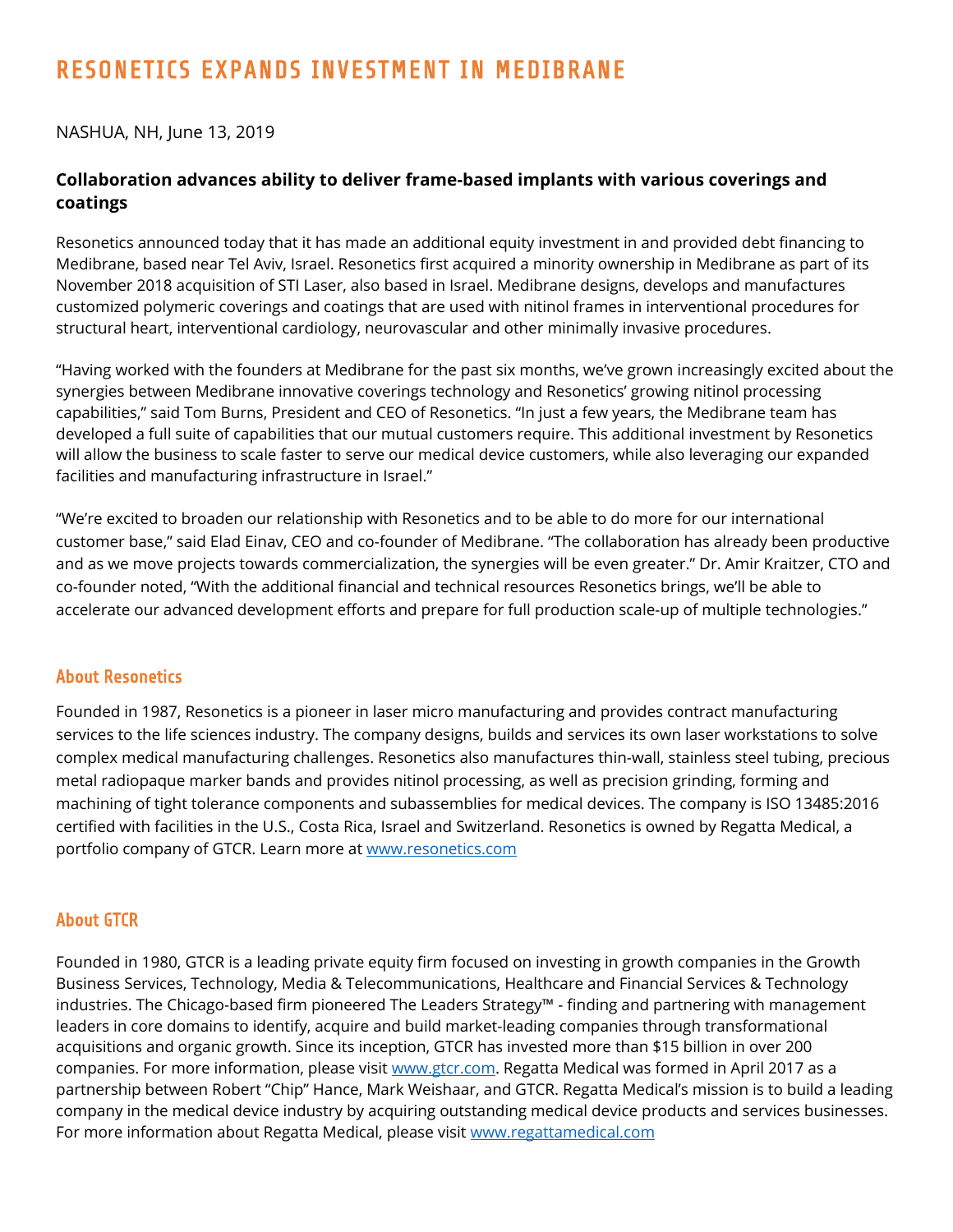# RESONETICS EXPANDS INVESTMENT IN MEDIBRANE

## NASHUA, NH, June 13, 2019

## **Collaboration advances ability to deliver frame-based implants with various coverings and coatings**

Resonetics announced today that it has made an additional equity investment in and provided debt financing to Medibrane, based near Tel Aviv, Israel. Resonetics first acquired a minority ownership in Medibrane as part of its November 2018 acquisition of STI Laser, also based in Israel. Medibrane designs, develops and manufactures customized polymeric coverings and coatings that are used with nitinol frames in interventional procedures for structural heart, interventional cardiology, neurovascular and other minimally invasive procedures.

"Having worked with the founders at Medibrane for the past six months, we've grown increasingly excited about the synergies between Medibrane innovative coverings technology and Resonetics' growing nitinol processing capabilities," said Tom Burns, President and CEO of Resonetics. "In just a few years, the Medibrane team has developed a full suite of capabilities that our mutual customers require. This additional investment by Resonetics will allow the business to scale faster to serve our medical device customers, while also leveraging our expanded facilities and manufacturing infrastructure in Israel."

"We're excited to broaden our relationship with Resonetics and to be able to do more for our international customer base," said Elad Einav, CEO and co-founder of Medibrane. "The collaboration has already been productive and as we move projects towards commercialization, the synergies will be even greater." Dr. Amir Kraitzer, CTO and co-founder noted, "With the additional financial and technical resources Resonetics brings, we'll be able to accelerate our advanced development efforts and prepare for full production scale-up of multiple technologies."

### About Resonetics

Founded in 1987, Resonetics is a pioneer in laser micro manufacturing and provides contract manufacturing services to the life sciences industry. The company designs, builds and services its own laser workstations to solve complex medical manufacturing challenges. Resonetics also manufactures thin-wall, stainless steel tubing, precious metal radiopaque marker bands and provides nitinol processing, as well as precision grinding, forming and machining of tight tolerance components and subassemblies for medical devices. The company is ISO 13485:2016 certified with facilities in the U.S., Costa Rica, Israel and Switzerland. Resonetics is owned by Regatta Medical, a portfolio company of GTCR. Learn more at [www.resonetics.com](http://www.resonetics.com/)

#### About GTCR

Founded in 1980, GTCR is a leading private equity firm focused on investing in growth companies in the Growth Business Services, Technology, Media & Telecommunications, Healthcare and Financial Services & Technology industries. The Chicago-based firm pioneered The Leaders Strategy™ - finding and partnering with management leaders in core domains to identify, acquire and build market-leading companies through transformational acquisitions and organic growth. Since its inception, GTCR has invested more than \$15 billion in over 200 companies. For more information, please visi[t www.gtcr.com.](http://www.gtcr.com/) Regatta Medical was formed in April 2017 as a partnership between Robert "Chip" Hance, Mark Weishaar, and GTCR. Regatta Medical's mission is to build a leading company in the medical device industry by acquiring outstanding medical device products and services businesses. For more information about Regatta Medical, please visit [www.regattamedical.com](http://www.regattamedical.com/)